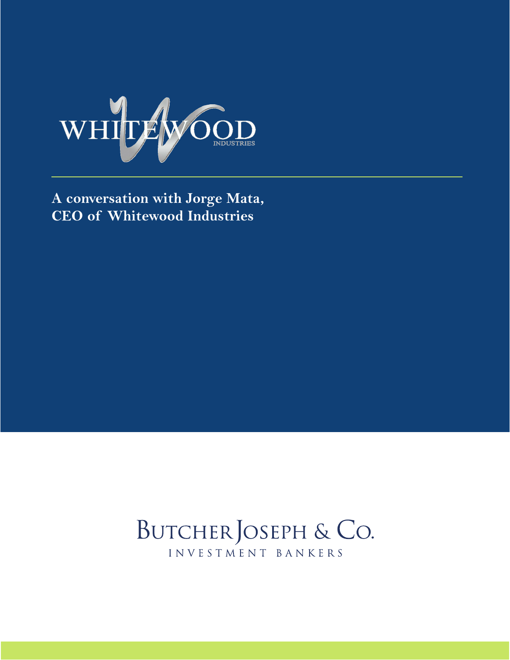

**A conversation with Jorge Mata, CEO of Whitewood Industries**

## BUTCHER JOSEPH & CO. INVESTMENT BANKERS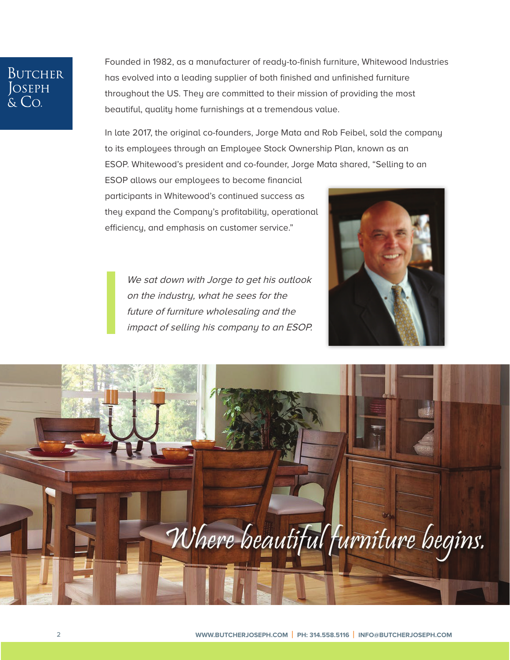# **BUTCHER** JOSEPH<br>& Co.

Founded in 1982, as a manufacturer of ready-to-finish furniture, [Whitewood Industries](http://bit.ly/2kPVFnA)  has evolved into a leading supplier of both finished and unfinished furniture throughout the US. They are committed to their mission of providing the most beautiful, quality home furnishings at a tremendous value.

In late 2017, the original co-founders, Jorge Mata and Rob Feibel, sold the company to its employees through an [Employee Stock Ownership Plan,](http://bit.ly/30WlZvO) known as an ESOP. Whitewood's president and co-founder, Jorge Mata shared, "Selling to an

ESOP allows our employees to become financial participants in Whitewood's continued success as they expand the Company's profitability, operational efficiency, and emphasis on customer service."

> We sat down with Jorge to get his outlook on the industry, what he sees for the future of furniture wholesaling and the impact of selling his company to an ESOP.



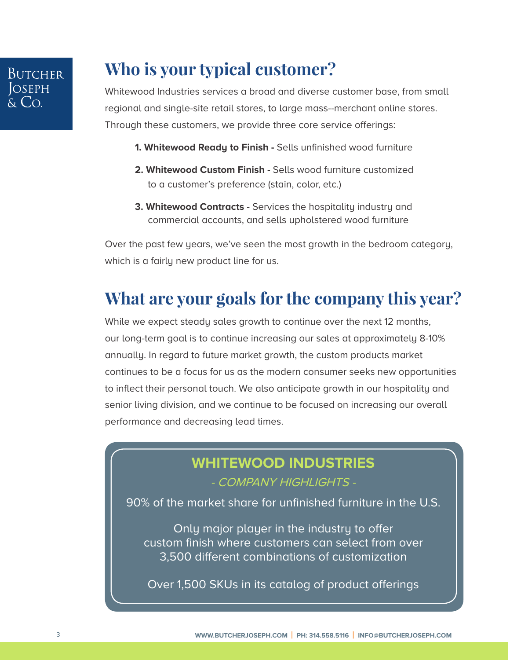# **Who is your typical customer?**

[Whitewood Industries s](http://bit.ly/2kPVFnA)ervices a broad and diverse customer base, from small regional and single-site retail stores, to large mass--merchant online stores. Through these customers, we provide three core service offerings:

- **1. Whitewood Ready to Finish** Sells unfinished wood furniture
- **2. Whitewood Custom Finish** Sells wood furniture customized to a customer's preference (stain, color, etc.)
- **3. Whitewood Contracts -** Services the hospitality industry and commercial accounts, and sells upholstered wood furniture

Over the past few years, we've seen the most growth in the bedroom category, which is a fairly new product line for us.

### **What are your goals for the company this year?**

While we expect steady sales growth to continue over the next 12 months, our long-term goal is to continue increasing our sales at approximately 8-10% annually. In regard to future market growth, the custom products market continues to be a focus for us as the modern consumer seeks new opportunities to inflect their personal touch. We also anticipate growth in our hospitality and senior living division, and we continue to be focused on increasing our overall performance and decreasing lead times.

### **[WHITEWOOD INDUSTRIES](http://bit.ly/2kPVFnA)**

#### - COMPANY HIGHLIGHTS -

90% of the market share for unfinished furniture in the U.S.

Only major player in the industry to offer custom finish where customers can select from over 3,500 different combinations of customization

Over 1,500 SKUs in its catalog of product offerings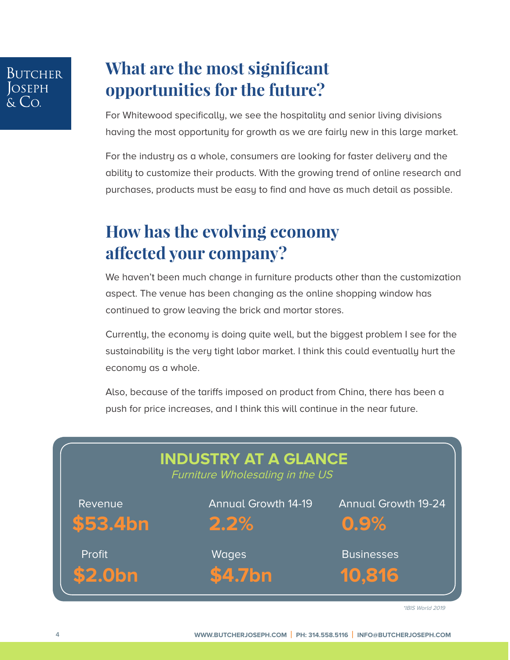### Butcher **S**SEPH  $Co$

### **What are the most significant opportunities for the future?**

For Whitewood specifically, we see the hospitality and senior living divisions having the most opportunity for growth as we are fairly new in this large market.

For the industry as a whole, consumers are looking for faster delivery and the ability to customize their products. With the growing trend of online research and purchases, products must be easy to find and have as much detail as possible.

### **How has the evolving economy affected your company?**

We haven't been much change in furniture products other than the customization aspect. The venue has been changing as the online shopping window has continued to grow leaving the brick and mortar stores.

Currently, the economy is doing quite well, but the biggest problem I see for the sustainability is the very tight labor market. I think this could eventually hurt the economy as a whole.

Also, because of the tariffs imposed on product from China, there has been a push for price increases, and I think this will continue in the near future.